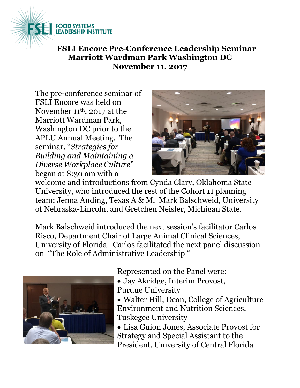

**FSLI Encore Pre-Conference Leadership Seminar Marriott Wardman Park Washington DC November 11, 2017**

The pre-conference seminar of FSLI Encore was held on November 11 th, 2017 at the Marriott Wardman Park, Washington DC prior to the APLU Annual Meeting. The seminar, "*Strategies for Building and Maintaining a Diverse Workplace Culture*" began at 8:30 am with a



welcome and introductions from Cynda Clary, Oklahoma State University, who introduced the rest of the Cohort 11 planning team; Jenna Anding, Texas A & M, Mark Balschweid, University of Nebraska-Lincoln, and Gretchen Neisler, Michigan State.

Mark Balschweid introduced the next session's facilitator Carlos Risco, Department Chair of Large Animal Clinical Sciences, University of Florida. Carlos facilitated the next panel discussion on "The Role of Administrative Leadership "



Represented on the Panel were:

- Jay Akridge, Interim Provost, Purdue University
- Walter Hill, Dean, College of Agriculture Environment and Nutrition Sciences, Tuskegee University
- Lisa Guion Jones, Associate Provost for Strategy and Special Assistant to the President, University of Central Florida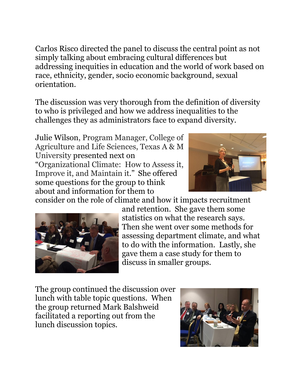Carlos Risco directed the panel to discuss the central point as not simply talking about embracing cultural differences but addressing inequities in education and the world of work based on race, ethnicity, gender, socio economic background, sexual orientation.

The discussion was very thorough from the definition of diversity to who is privileged and how we address inequalities to the challenges they as administrators face to expand diversity.

Julie Wilson, Program Manager, College of Agriculture and Life Sciences, Texas A & M University presented next on "Organizational Climate: How to Assess it, Improve it, and Maintain it." She offered some questions for the group to think about and information for them to



consider on the role of climate and how it impacts recruitment



and retention. She gave them some statistics on what the research says. Then she went over some methods for assessing department climate, and what to do with the information. Lastly, she gave them a case study for them to discuss in smaller groups.

The group continued the discussion over lunch with table topic questions. When the group returned Mark Balshweid facilitated a reporting out from the lunch discussion topics.